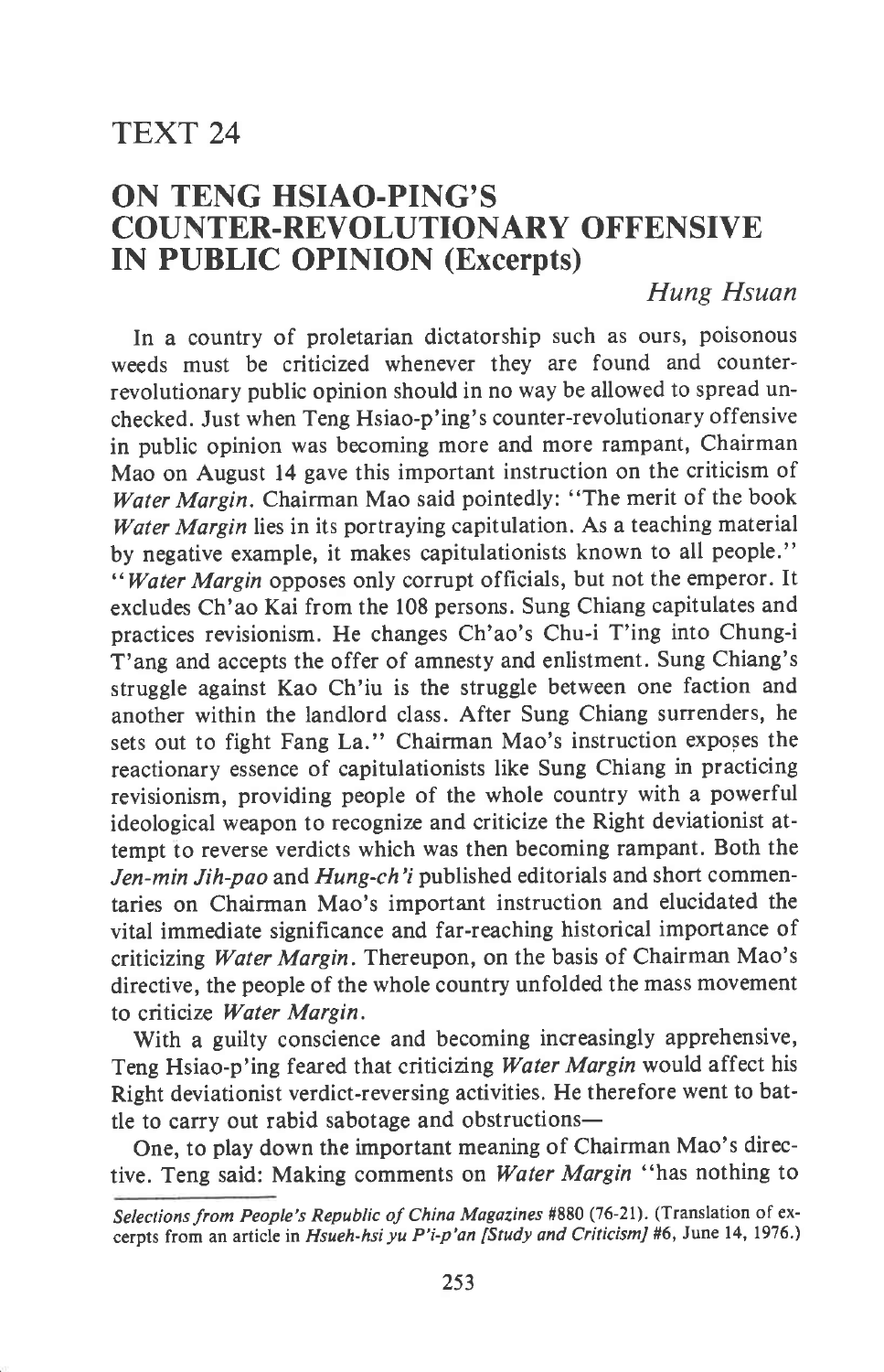## TEXT 24

## ON TENG HSIAO.PING'S COUNTER.REVOLUTIONARY OFFENSIVE IN PUBLIC OPINION (Excerpts)

## Hung Hsuan

In a country of proletarian dictatorship such as ours, poisonous weeds must be criticized whenever they are found and counterrevolutionary public opinion should in no way be allowed to spread unchecked. Just when Teng Hsiao-p'ing's counter-revolutionary offensive in public opinion was becoming more and more rampant, Chairman Mao on August 14 gave this important instruction on the criticism of Water Margin. Chairman Mao said pointedly: "The merit of the book Water Margin lies in its portraying capitulation. As a teaching material by negative example, it makes capitulationists known to all people." "Water Margin opposes only corrupt officials, but not the emperor. It excludes Ch'ao Kai from the 108 persons. Sung Chiang capitulates and practices revisionism. He changes Ch'ao's Chu-i T'ing into Chung-i T'ang and accepts the offer of amnesty and enlistment. Sung Chiang's struggle against Kao Ch'iu is the struggle between one faction and another within the landlord class. After Sung Chiang surrenders, he sets out to fight Fang La." Chairman Mao's instruction exposes the reactionary essence of capitulationists like Sung Chiang in practicing revisionism, providing people of the whole country with a powerful ideological weapon to recognize and criticize the Right deviationist attempt to reverse verdicts which was then becoming rampant. Both the Jen-min Jih-pao and Hung-ch'i published editorials and short commentaries on Chairman Mao's important instruction and elucidated the vital immediate significance and far-reaching historical importance of criticizing Water Margin. Thereupon, on the basis of Chairman Mao's directive, the people of the whole country unfolded the mass movement to criticize Water Margin.

With a guilty conscience and becoming increasingly apprehensive, Teng Hsiao-p'ing feared that criticizing Water Margin would affect his Right deviationist verdict-reversing activities. He therefore went to battle to carry out rabid sabotage and obstructions-

One, to play down the important meaning of Chairman Mao's directive. Teng said: Making comments on Water Margin "has nothing to

Selections from People's Republic of China Magazines #880 (76-21). (Translation of excerpts from an article in Hsueh-hsi yu P'i-p'an [Study and CriticismJ #6, June 14, 1976.)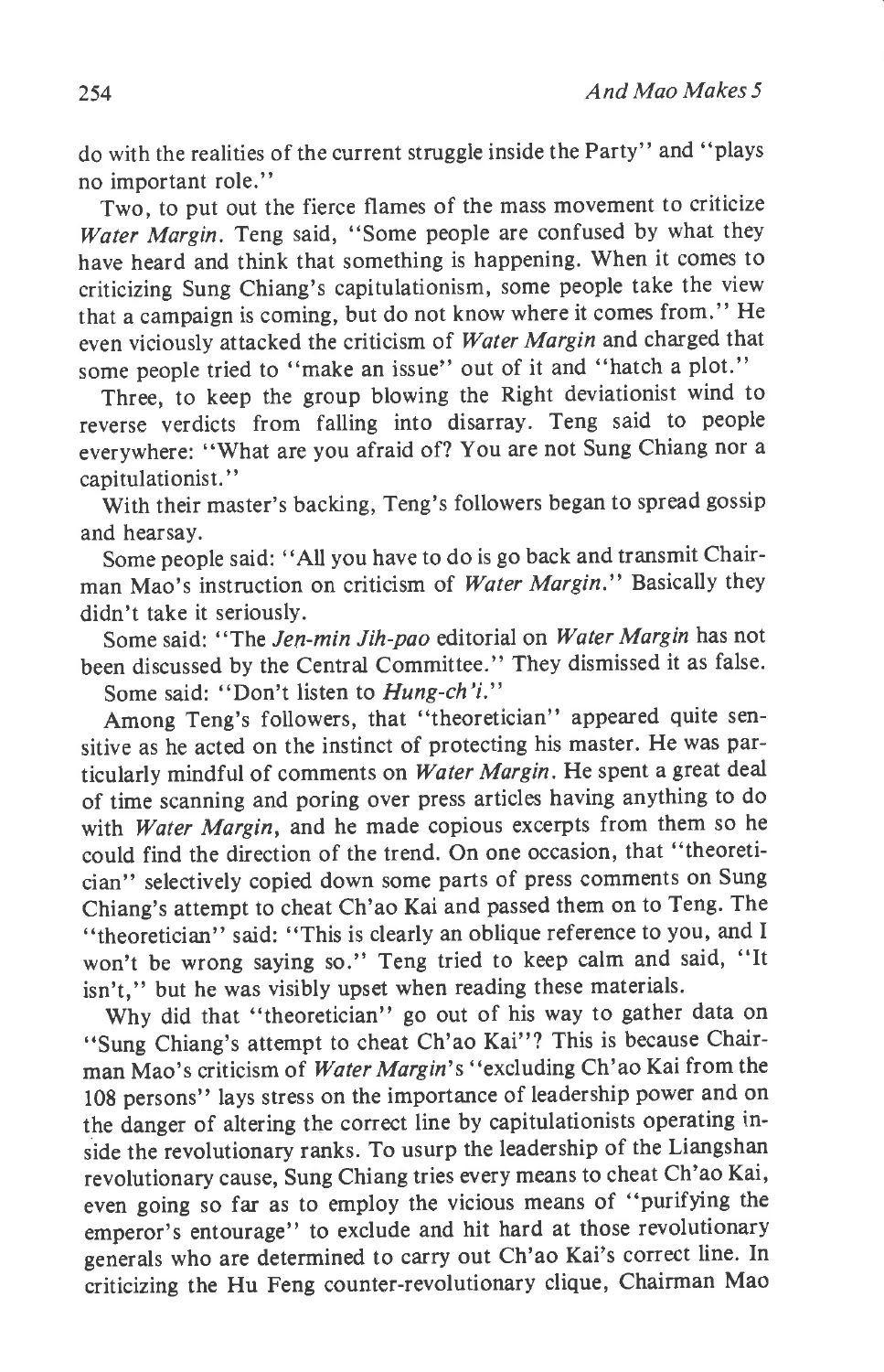do with the realities of the current struggle inside the Party" and "plays no important role."

Two, to put out the fierce flames of the mass movement to criticize Water Margin. Teng said, "Some people are confused by what they have heard and think that something is happening. When it comes to criticizing Sung Chiang's capitulationism, some people take the view that a campaign is coming, but do not know where it comes from." He even viciously attacked the criticism of Water Margin and charged that some people tried to "make an issue" out of it and "hatch a plot."

Three, to keep the group blowing the Right deviationist wind to reverse verdicts from falling into disarray. Teng said to people everywhere: "What are you afraid of? You are not Sung Chiang nor <sup>a</sup> capitulationist."

With their master's backing, Teng's followers began to spread gossip and hearsay.

Some people said: "All you have to do is go back and transmit Chairman Mao's instruction on criticism of Water Margin." Basically they didn't take it seriously.

Some said: "The Jen-min Jih-pao editorial on Water Margin has not been discussed by the Central Committee." They dismissed it as false. Some said: "Don't listen to Hung-ch'i."

Among Teng's followers, that "theoretician" appeared quite sensitive as he acted on the instinct of protecting his master. He was particularly mindful of comments on Water Margin. He spent a great deal of time scanning and poring over press articles having anything to do with Water Margin, and he made copious excerpts from them so he could find the direction of the trend. On one occasion, that "theoretician" selectively copied down some parts of press comments on Sung Chiang's attempt to cheat Ch'ao Kai and passed them on to Teng. The "theoretician" said: "This is clearly an oblique reference to you, and I won't be wrong saying so." Teng tried to keep calm and said, "It isn't," but he was visibly upset when reading these materials.

Why did that "theoretician" go out of his way to gather data on "Sung Chiang's attempt to cheat Ch'ao Kai"? This is because Chairman Mao's criticism of Water Margin's "excluding Ch'ao Kai from the 108 persons" lays stress on the importance of leadership power and on the danger of altering the correct line by capitulationists operating inside the revolutionary ranks. To usurp the leadership of the Liangshan revolutionary cause, Sung Chiang tries every means to cheat Ch'ao Kai, even going so far as to employ the vicious means of "purifying the emperor's entourage" to exclude and hit hard at those revolutionary generals who are determined to carry out Ch'ao Kai's correct line. In criticizing the Hu Feng counter-revolutionary clique, Chairman Mao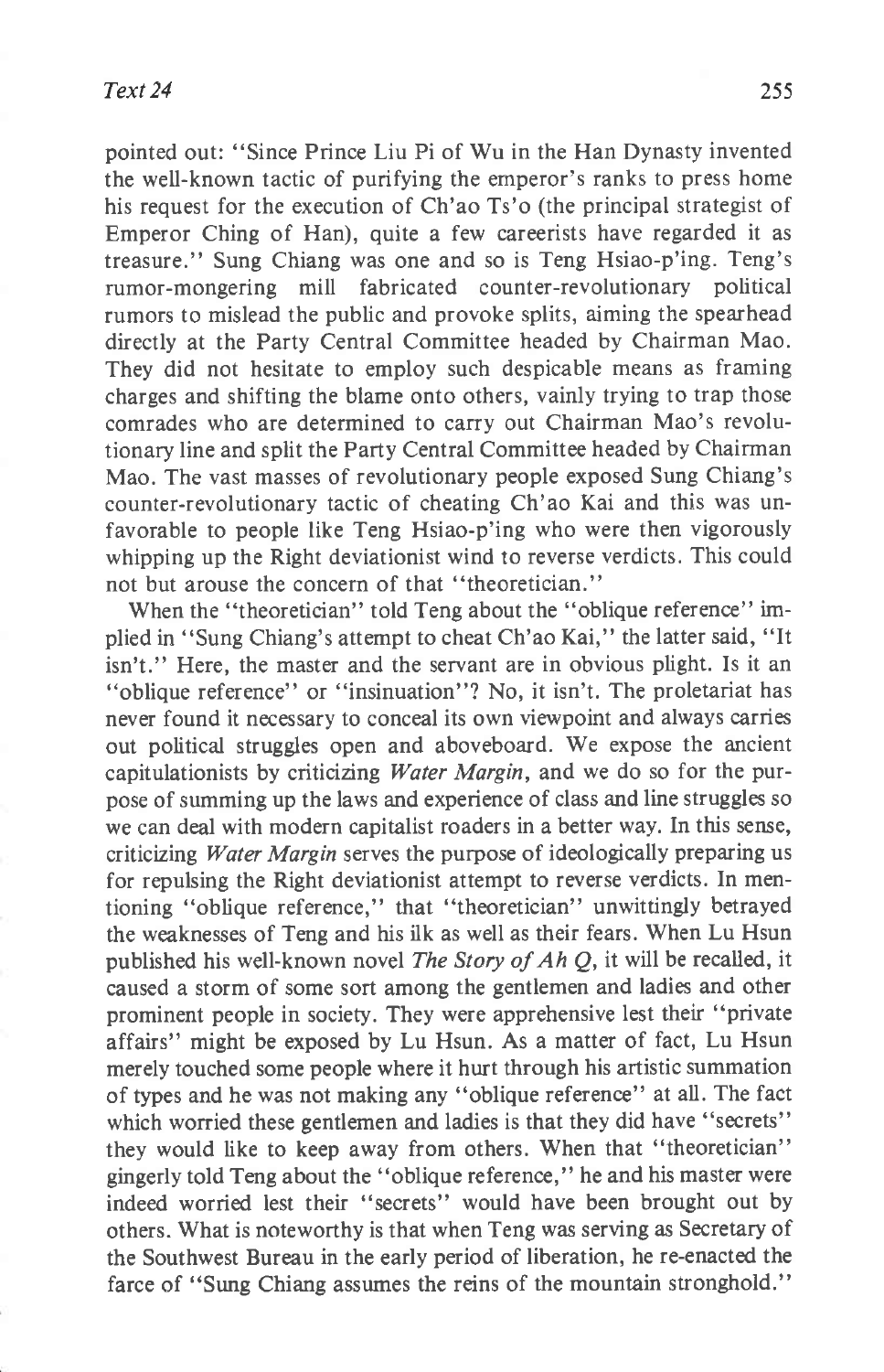pointed out: "Since Prince Liu Pi of Wu in the Han Dynasty invented the well-known tactic of purifying the emperor's ranks to press home his request for the execution of Ch'ao Ts'o (the principal strategist of Emperor Ching of Han), quite a few careerists have regarded it as treasure." Sung Chiang was one and so is Teng Hsiao-p'ing. Teng's rumor-mongering mill fabricated counter-revolutionary political rumors to mislead the public and provoke splits, aiming the spearhead directly at the Party Central Committee headed by Chairman Mao. They did not hesitate to employ such despicable means as framing charges and shifting the blame onto others, vainly trying to trap those comrades who are determined to carry out Chairman Mao's revolutionary line and split the Party Central Committee headed by Chairman Mao. The vast masses of revolutionary people exposed Sung Chiang's counter-revolutionary tactic of cheating Ch'ao Kai and this was unfavorable to people like Teng Hsiao-p'ing who were then vigorously whipping up the Right deviationist wind to reverse verdicts, This could not but arouse the concern of that "theoretician."

When the "theoretician" told Teng about the "oblique reference" implied in "Sung Chiang's attempt to cheat Ch'ao Kai," the latter said, "It isn't." Here, the master and the servant are in obvious plight. Is it an "oblique reference" or "insinuation"? No, it isn't. The proletariat has never found it necessary to conceal its own viewpoint and always carries out political struggles open and aboveboard. We expose the ancient capitulationists by criticizing *Water Margin*, and we do so for the purpose of summing up the laws and experience of class and line struggles so we can deal with modern capitalist roaders in a better way. In this sense, criticizing Water Margin serves the purpose of ideologically preparing us for repulsing the Right deviationist attempt to reverse verdicts. In mentioning "oblique reference," that "theoretician" unwittingly betrayed the weaknesses of Teng and his ilk as well as their fears. When Lu Hsun published his well-known novel The Story of Ah Q, it will be recalled, it caused a storm of some sort among the gentlemen and ladies and other prominent people in society. They were apprehensive lest their "private affairs" might be exposed by Lu Hsun. As a matter of fact, Lu Hsun merely touched some people where it hurt through his artistic summation of types and he was not making any "oblique reference" at all. The fact which worried these gentlemen and ladies is that they did have "secrets" they would like to keep away from others. When that "theoretician" gingerly told Teng about the "oblique reference," he and his master were indeed worried lest their "secrets" would have been brought out by others. What is noteworthy is that when Teng was serving as Secretary of the Southwest Bureau in the early period of liberation, he re-enacted the farce of "Sung Chiang assumes the reins of the mountain stronghold."